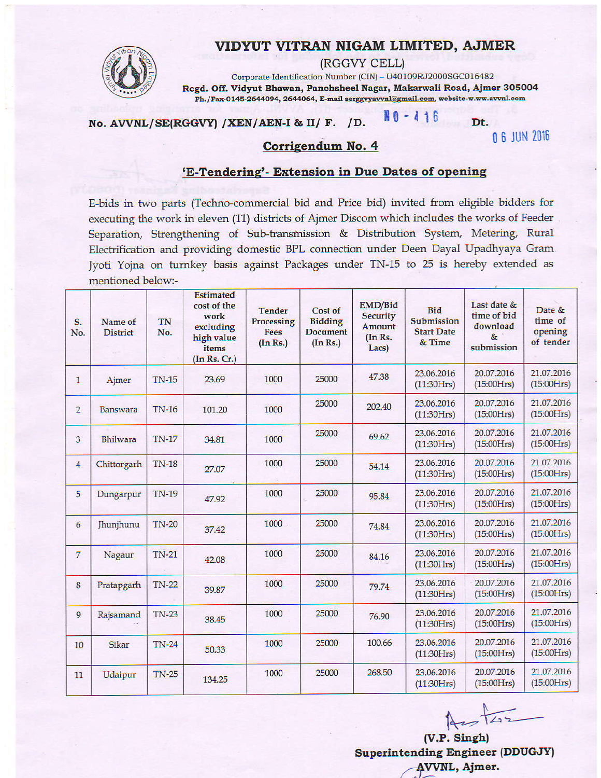# VIDYUT VITRAN NIGAM LIMITED, AJMER



(RGGVY CELL)

Corporate Identification Number (CIN) - U40109RJ2000SGC016482 Regd. Off. Vidyut Bhawan, Panchsheel Nagar, Makarwali Road, Ajmer 305004 Ph./Fax-0145-2644094, 2644064, E-mail serggyyavvnl@gmail.com, website-w.ww.avvnl.com

#### $NO - 416$ No. AVVNL/SE(RGGVY) /XEN/AEN-I & II/ F. /D.

**N 6 JUN 2016** 

Dt.

## Corrigendum No. 4

#### 'E-Tendering'- Extension in Due Dates of opening

E-bids in two parts (Techno-commercial bid and Price bid) invited from eligible bidders for executing the work in eleven (11) districts of Ajmer Discom which includes the works of Feeder Separation, Strengthening of Sub-transmission & Distribution System, Metering, Rural Electrification and providing domestic BPL connection under Deen Dayal Upadhyaya Gram. Jyoti Yojna on turnkey basis against Packages under TN-15 to 25 is hereby extended as mentioned below:-

| S.<br>No.      | Name of<br><b>District</b> | TN<br>No.    | <b>Estimated</b><br>cost of the<br>work<br>excluding<br>high value<br>items<br>(In Rs. Cr.) | <b>Tender</b><br>Processing<br><b>Fees</b><br>(In Rs.) | Cost of<br><b>Bidding</b><br><b>Document</b><br>(In Rs.) | EMD/Bid<br><b>Security</b><br>Amount<br>$(In$ $Rs.$<br>Lacs) | <b>Bid</b><br>Submission<br><b>Start Date</b><br>& Time | Last date &<br>time of bid<br>download<br>$\&$<br>submission | Date &<br>time of<br>opening<br>of tender |
|----------------|----------------------------|--------------|---------------------------------------------------------------------------------------------|--------------------------------------------------------|----------------------------------------------------------|--------------------------------------------------------------|---------------------------------------------------------|--------------------------------------------------------------|-------------------------------------------|
| $\mathbf{1}$   | Ajmer                      | <b>TN-15</b> | 23.69                                                                                       | 1000                                                   | 25000                                                    | 47.38                                                        | 23.06.2016<br>(11:30Hrs)                                | 20.07.2016<br>(15:00Hrs)                                     | 21.07.2016<br>(15:00Hrs)                  |
| $\overline{2}$ | Banswara                   | <b>TN-16</b> | 101.20                                                                                      | 1000                                                   | 25000                                                    | 202.40                                                       | 23.06.2016<br>(11:30Hrs)                                | 20.07.2016<br>(15:00Hrs)                                     | 21.07.2016<br>(15:00Hrs)                  |
| 3              | Bhilwara                   | <b>TN-17</b> | 34.81                                                                                       | 1000                                                   | 25000                                                    | 69.62                                                        | 23.06.2016<br>(11:30Hrs)                                | 20.07.2016<br>(15:00Hrs)                                     | 21.07.2016<br>(15:00Hrs)                  |
| $\overline{4}$ | Chittorgarh                | <b>TN-18</b> | 27.07                                                                                       | 1000                                                   | 25000                                                    | 54.14                                                        | 23.06.2016<br>(11:30Hrs)                                | 20.07.2016<br>(15:00Hrs)                                     | 21.07.2016<br>(15:00Hrs)                  |
| 5              | Dungarpur                  | <b>TN-19</b> | 47.92                                                                                       | 1000                                                   | 25000                                                    | 95.84                                                        | 23.06.2016<br>(11:30Hrs)                                | 20.07.2016<br>(15:00Hrs)                                     | 21.07.2016<br>(15:00Hrs)                  |
| 6              | Jhunjhunu                  | <b>TN-20</b> | 37.42                                                                                       | 1000                                                   | 25000                                                    | 74.84                                                        | 23.06.2016<br>(11:30Hrs)                                | 20.07.2016<br>(15:00Hrs)                                     | 21.07.2016<br>(15:00Hrs)                  |
| $\overline{7}$ | Nagaur                     | $TN-21$      | 42.08                                                                                       | 1000                                                   | 25000                                                    | 84.16                                                        | 23.06.2016<br>(11:30Hrs)                                | 20.07.2016<br>(15:00Hrs)                                     | 21.07.2016<br>(15:00Hrs)                  |
| 8              | Pratapgarh                 | <b>TN-22</b> | 39.87                                                                                       | 1000                                                   | 25000                                                    | 79.74                                                        | 23.06.2016<br>(11:30Hrs)                                | 20.07.2016<br>(15:00Hrs)                                     | 21.07.2016<br>(15:00Hrs)                  |
| 9              | Rajsamand                  | $TN-23$      | 38.45                                                                                       | 1000                                                   | 25000                                                    | 76.90                                                        | 23.06.2016<br>(11:30Hrs)                                | 20.07.2016<br>(15:00Hrs)                                     | 21.07.2016<br>(15:00Hrs)                  |
| 10             | Sikar                      | $TN-24$      | 50.33                                                                                       | 1000                                                   | 25000                                                    | 100.66                                                       | 23.06.2016<br>(11:30Hrs)                                | 20.07.2016<br>(15:00Hrs)                                     | 21.07.2016<br>(15:00Hrs)                  |
| 11             | Udaipur                    | $TN-25$      | 134.25                                                                                      | 1000                                                   | 25000                                                    | 268.50                                                       | 23.06.2016<br>(11:30Hrs)                                | 20.07.2016<br>(15:00Hrs)                                     | 21.07.2016<br>(15:00Hrs)                  |

 $427 + 22$ 

(V.P. Singh) **Superintending Engineer (DDUGJY)** AVVNL, Ajmer.